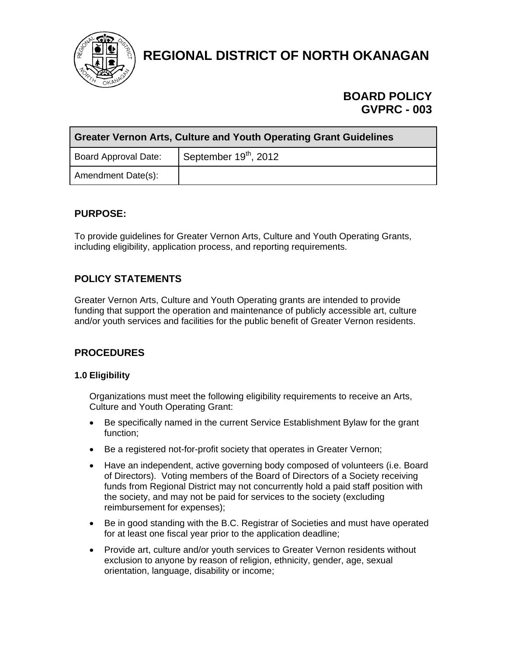

**REGIONAL DISTRICT OF NORTH OKANAGAN** 

# **BOARD POLICY GVPRC - 003**

| <b>Greater Vernon Arts, Culture and Youth Operating Grant Guidelines</b> |                         |  |  |  |
|--------------------------------------------------------------------------|-------------------------|--|--|--|
| <b>Board Approval Date:</b>                                              | September $19th$ , 2012 |  |  |  |
| Amendment Date(s):                                                       |                         |  |  |  |

# **PURPOSE:**

To provide guidelines for Greater Vernon Arts, Culture and Youth Operating Grants, including eligibility, application process, and reporting requirements.

# **POLICY STATEMENTS**

Greater Vernon Arts, Culture and Youth Operating grants are intended to provide funding that support the operation and maintenance of publicly accessible art, culture and/or youth services and facilities for the public benefit of Greater Vernon residents.

# **PROCEDURES**

# **1.0 Eligibility**

Organizations must meet the following eligibility requirements to receive an Arts, Culture and Youth Operating Grant:

- Be specifically named in the current Service Establishment Bylaw for the grant function;
- Be a registered not-for-profit society that operates in Greater Vernon;
- Have an independent, active governing body composed of volunteers (i.e. Board of Directors). Voting members of the Board of Directors of a Society receiving funds from Regional District may not concurrently hold a paid staff position with the society, and may not be paid for services to the society (excluding reimbursement for expenses);
- Be in good standing with the B.C. Registrar of Societies and must have operated for at least one fiscal year prior to the application deadline;
- Provide art, culture and/or youth services to Greater Vernon residents without exclusion to anyone by reason of religion, ethnicity, gender, age, sexual orientation, language, disability or income;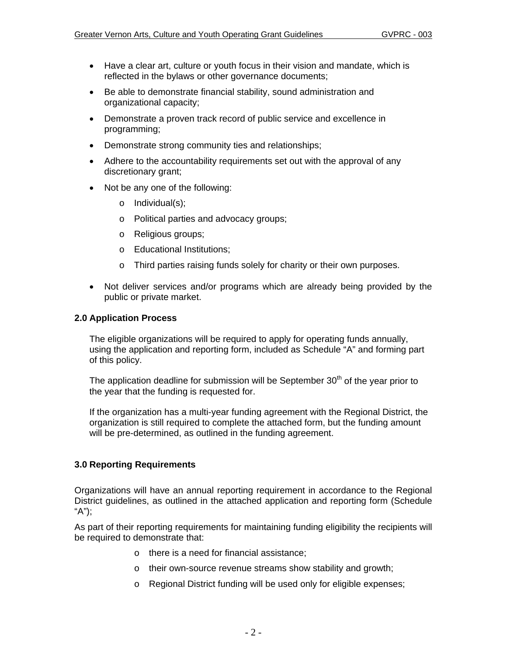- Have a clear art, culture or youth focus in their vision and mandate, which is reflected in the bylaws or other governance documents;
- Be able to demonstrate financial stability, sound administration and organizational capacity;
- Demonstrate a proven track record of public service and excellence in programming;
- Demonstrate strong community ties and relationships;
- Adhere to the accountability requirements set out with the approval of any discretionary grant;
- Not be any one of the following:
	- o Individual(s);
	- o Political parties and advocacy groups;
	- o Religious groups;
	- o Educational Institutions;
	- o Third parties raising funds solely for charity or their own purposes.
- Not deliver services and/or programs which are already being provided by the public or private market.

# **2.0 Application Process**

The eligible organizations will be required to apply for operating funds annually, using the application and reporting form, included as Schedule "A" and forming part of this policy.

The application deadline for submission will be September  $30<sup>th</sup>$  of the year prior to the year that the funding is requested for.

If the organization has a multi-year funding agreement with the Regional District, the organization is still required to complete the attached form, but the funding amount will be pre-determined, as outlined in the funding agreement.

# **3.0 Reporting Requirements**

Organizations will have an annual reporting requirement in accordance to the Regional District guidelines, as outlined in the attached application and reporting form (Schedule "A");

As part of their reporting requirements for maintaining funding eligibility the recipients will be required to demonstrate that:

- o there is a need for financial assistance;
- o their own-source revenue streams show stability and growth;
- o Regional District funding will be used only for eligible expenses;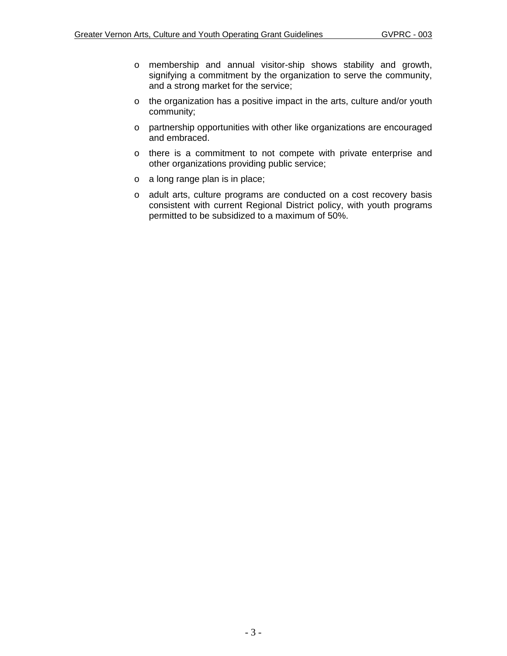- o membership and annual visitor-ship shows stability and growth, signifying a commitment by the organization to serve the community, and a strong market for the service;
- o the organization has a positive impact in the arts, culture and/or youth community;
- o partnership opportunities with other like organizations are encouraged and embraced.
- o there is a commitment to not compete with private enterprise and other organizations providing public service;
- o a long range plan is in place;
- o adult arts, culture programs are conducted on a cost recovery basis consistent with current Regional District policy, with youth programs permitted to be subsidized to a maximum of 50%.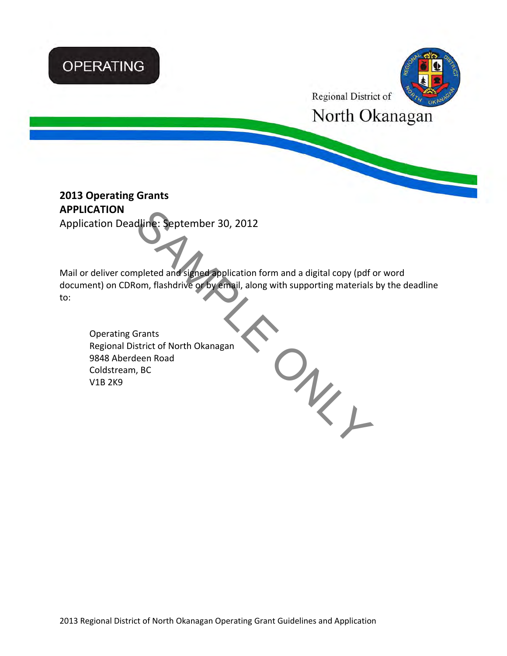# **OPERATING**



Regional District of

 $O_{\!\!k_{\!\scriptscriptstyle L}}$ 

North Okanagan

# **2013 Operating Grants APPLICATION**

Application Deadline: September 30, 2012

<u>and the state of the state of the state of the state of the state of the state of the state of the state of the state of the state of the state of the state of the state of the state of the state of the state of the state</u> Mail or deliver completed and signed application form and a digital copy (pdf or word document) on CDRom, flashdrive or by email, along with supporting materials by the deadline to:

Operating Grants Regional District of North Okanagan 9848 Aberdeen Road Coldstream, BC V1B 2K9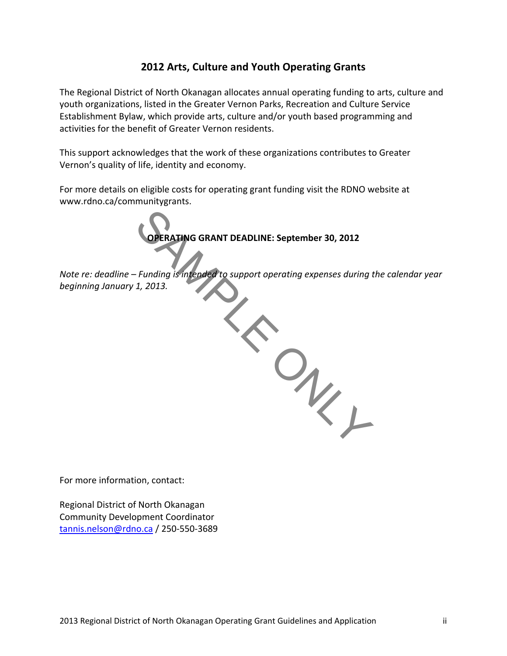# **2012 Arts, Culture and Youth Operating Grants**

The Regional District of North Okanagan allocates annual operating funding to arts, culture and youth organizations, listed in the Greater Vernon Parks, Recreation and Culture Service Establishment Bylaw, which provide arts, culture and/or youth based programming and activities for the benefit of Greater Vernon residents.

This support acknowledges that the work of these organizations contributes to Greater Vernon's quality of life, identity and economy.

For more details on eligible costs for operating grant funding visit the RDNO website at www.rdno.ca/communitygrants.

**OPERATING GRANT DEADLINE: September 30, 2012**

*Note re: deadline – Funding is intended to support operating expenses during the calendar year beginning January 1, 2013.* SAMPLE ONLY

For more information, contact:

Regional District of North Okanagan Community Development Coordinator tannis.nelson@rdno.ca / 250‐550‐3689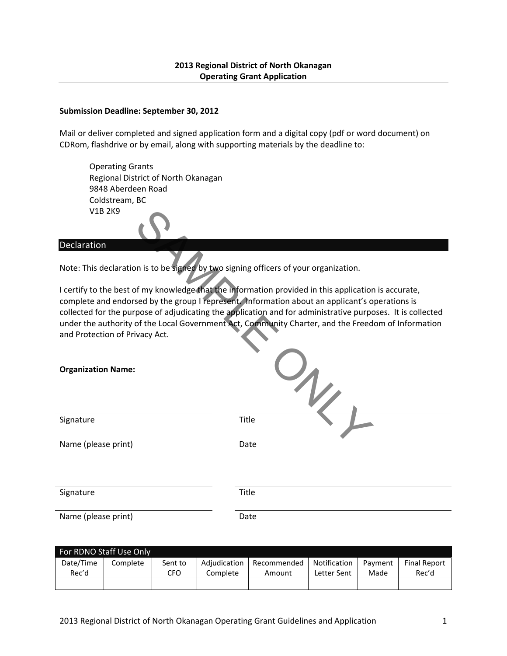# **2013 Regional District of North Okanagan Operating Grant Application**

#### **Submission Deadline: September 30, 2012**

Mail or deliver completed and signed application form and a digital copy (pdf or word document) on CDRom, flashdrive or by email, along with supporting materials by the deadline to:

Operating Grants Regional District of North Okanagan 9848 Aberdeen Road Coldstream, BC V1B 2K9

#### **Declaration**

| V <sub>1</sub> B <sub>2</sub> K <sub>9</sub>                                         |                                                                                                                                                                                                                                                                                                                                                                                                                            |  |  |  |
|--------------------------------------------------------------------------------------|----------------------------------------------------------------------------------------------------------------------------------------------------------------------------------------------------------------------------------------------------------------------------------------------------------------------------------------------------------------------------------------------------------------------------|--|--|--|
| Declaration                                                                          |                                                                                                                                                                                                                                                                                                                                                                                                                            |  |  |  |
| Note: This declaration is to be signed by two signing officers of your organization. |                                                                                                                                                                                                                                                                                                                                                                                                                            |  |  |  |
|                                                                                      | I certify to the best of my knowledge that the information provided in this application is accurate,<br>complete and endorsed by the group I represent. Information about an applicant's operations is<br>collected for the purpose of adjudicating the application and for administrative purposes. It is collected<br>under the authority of the Local Government Act, Community Charter, and the Freedom of Information |  |  |  |
| and Protection of Privacy Act.                                                       |                                                                                                                                                                                                                                                                                                                                                                                                                            |  |  |  |
| <b>Organization Name:</b>                                                            |                                                                                                                                                                                                                                                                                                                                                                                                                            |  |  |  |
|                                                                                      |                                                                                                                                                                                                                                                                                                                                                                                                                            |  |  |  |
| Signature                                                                            | <b>Title</b>                                                                                                                                                                                                                                                                                                                                                                                                               |  |  |  |
| Name (please print)                                                                  | Date                                                                                                                                                                                                                                                                                                                                                                                                                       |  |  |  |
|                                                                                      |                                                                                                                                                                                                                                                                                                                                                                                                                            |  |  |  |
| Signature                                                                            | Title                                                                                                                                                                                                                                                                                                                                                                                                                      |  |  |  |
| Name (please print)                                                                  | Date                                                                                                                                                                                                                                                                                                                                                                                                                       |  |  |  |

| For RDNO Staff Use Only |                     |     |              |             |              |         |                     |
|-------------------------|---------------------|-----|--------------|-------------|--------------|---------|---------------------|
| Date/Time               | Complete<br>Sent to |     | Adiudication | Recommended | Notification | Payment | <b>Final Report</b> |
| Rec'd                   |                     | CFO | Complete     | Amount      | Letter Sent  | Made    | Rec'd               |
|                         |                     |     |              |             |              |         |                     |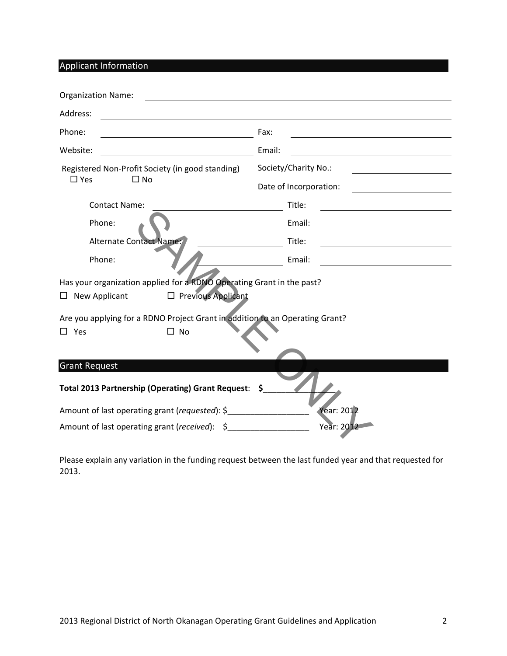Applicant Information

| <b>Organization Name:</b>                                                                                     |                        |
|---------------------------------------------------------------------------------------------------------------|------------------------|
| Address:                                                                                                      |                        |
| Phone:                                                                                                        | Fax:                   |
| Website:                                                                                                      | Email:                 |
| Registered Non-Profit Society (in good standing)                                                              | Society/Charity No.:   |
| $\square$ Yes<br>$\Box$ No                                                                                    | Date of Incorporation: |
| <b>Contact Name:</b>                                                                                          | Title:                 |
| Phone:                                                                                                        | Email:                 |
| Alternate Contact Name:                                                                                       | Title:                 |
| Phone:                                                                                                        | Email:                 |
| Has your organization applied for a RDNO Operating Grant in the past?                                         |                        |
| $\Box$ Previous Applicant<br>New Applicant<br>ப                                                               |                        |
| Are you applying for a RDNO Project Grant in addition to an Operating Grant?<br>$\square$ No<br>$\square$ Yes |                        |
| <b>Grant Request</b>                                                                                          |                        |
| Total 2013 Partnership (Operating) Grant Request: \$                                                          |                        |
| Amount of last operating grant (requested): \$                                                                | <b>Year: 2012</b>      |
| Amount of last operating grant (received): \$                                                                 | Year: 2012             |

Please explain any variation in the funding request between the last funded year and that requested for 2013.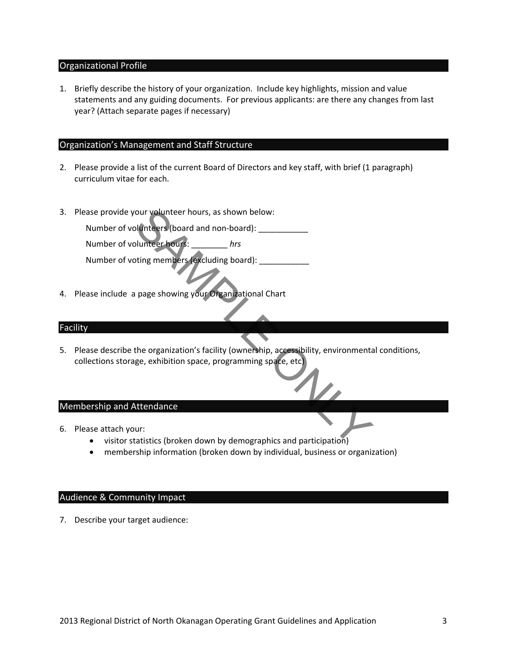# Organizational Profile

1. Briefly describe the history of your organization. Include key highlights, mission and value statements and any guiding documents. For previous applicants: are there any changes from last year? (Attach separate pages if necessary)

# Organization's Management and Staff Structure

- 2. Please provide a list of the current Board of Directors and key staff, with brief (1 paragraph) curriculum vitae for each.
- 3. Please provide your volunteer hours, as shown below:

Number of volunteers (board and non-board):

Number of volunteer hours: \_\_\_\_\_\_\_\_ *hrs*

Number of voting members (excluding board): \_\_\_\_\_\_\_\_\_\_

4. Please include a page showing your Organizational Chart

# Facility

5. Please describe the organization's facility (ownership, accessibility, environmental conditions, collections storage, exhibition space, programming space, etc) SAMPLE ONLY

# Membership and Attendance

- 6. Please attach your:
	- visitor statistics (broken down by demographics and participation)
	- membership information (broken down by individual, business or organization)

# Audience & Community Impact

7. Describe your target audience: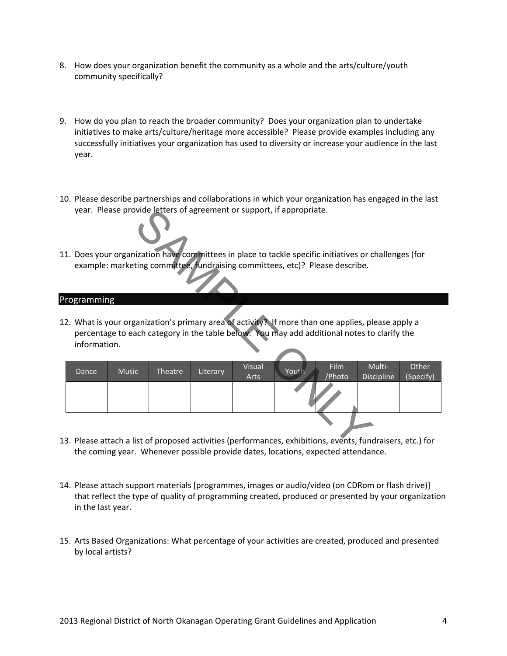- 8. How does your organization benefit the community as a whole and the arts/culture/youth community specifically?
- 9. How do you plan to reach the broader community? Does your organization plan to undertake initiatives to make arts/culture/heritage more accessible? Please provide examples including any successfully initiatives your organization has used to diversity or increase your audience in the last year.
- 10. Please describe partnerships and collaborations in which your organization has engaged in the last year. Please provide letters of agreement or support, if appropriate.
- 11. Does your organization have committees in place to tackle specific initiatives or challenges (for example: marketing committee, fundraising committees, etc)? Please describe.

## Programming

| year. Please provide letters of agreement or support, if appropriate.                                      |              |         |          |               |       |             |                                                                                                    |           |
|------------------------------------------------------------------------------------------------------------|--------------|---------|----------|---------------|-------|-------------|----------------------------------------------------------------------------------------------------|-----------|
|                                                                                                            |              |         |          |               |       |             |                                                                                                    |           |
| 11. Does your organization have committees in place to tackle specific initiatives or challenges (for      |              |         |          |               |       |             |                                                                                                    |           |
| example: marketing committee, fundraising committees, etc)? Please describe.                               |              |         |          |               |       |             |                                                                                                    |           |
|                                                                                                            |              |         |          |               |       |             |                                                                                                    |           |
| Programming                                                                                                |              |         |          |               |       |             |                                                                                                    |           |
|                                                                                                            |              |         |          |               |       |             |                                                                                                    |           |
|                                                                                                            |              |         |          |               |       |             | L2. What is your organization's primary area of activity? If more than one applies, please apply a |           |
|                                                                                                            |              |         |          |               |       |             | percentage to each category in the table below. You may add additional notes to clarify the        |           |
| information.                                                                                               |              |         |          |               |       |             |                                                                                                    |           |
|                                                                                                            |              |         |          |               |       |             |                                                                                                    |           |
| Dance                                                                                                      | <b>Music</b> | Theatre | Literary | <b>Visual</b> | Youth | <b>Film</b> | Multi-                                                                                             | Other     |
|                                                                                                            |              |         |          | Arts          |       | /Photo      | <b>Discipline</b>                                                                                  | (Specify) |
|                                                                                                            |              |         |          |               |       |             |                                                                                                    |           |
|                                                                                                            |              |         |          |               |       |             |                                                                                                    |           |
|                                                                                                            |              |         |          |               |       |             |                                                                                                    |           |
|                                                                                                            |              |         |          |               |       |             |                                                                                                    |           |
| 13. Please attach a list of proposed activities (performances, exhibitions, events, fundraisers, etc.) for |              |         |          |               |       |             |                                                                                                    |           |
|                                                                                                            |              |         |          |               |       |             |                                                                                                    |           |

- 13. Please attach a list of proposed activities (performances, exhibitions, events, fundraisers, etc.) for the coming year. Whenever possible provide dates, locations, expected attendance.
- 14. Please attach support materials [programmes, images or audio/video (on CDRom or flash drive)] that reflect the type of quality of programming created, produced or presented by your organization in the last year.
- 15. Arts Based Organizations: What percentage of your activities are created, produced and presented by local artists?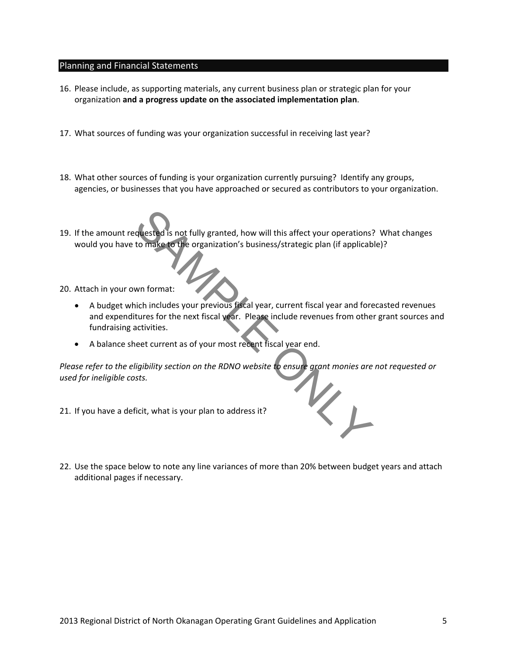## Planning and Financial Statements

- 16. Please include, as supporting materials, any current business plan or strategic plan for your organization **and a progress update on the associated implementation plan**.
- 17. What sources of funding was your organization successful in receiving last year?
- 18. What other sources of funding is your organization currently pursuing? Identify any groups, agencies, or businesses that you have approached or secured as contributors to your organization.
- 19. If the amount requested is not fully granted, how will this affect your operations? What changes would you have to make to the organization's business/strategic plan (if applicable)?

20. Attach in your own format:

- A budget which includes your previous fiscal year, current fiscal year and forecasted revenues and expenditures for the next fiscal year. Please include revenues from other grant sources and fundraising activities. readed is not fully granted, how will this affect your operations?<br>to make to the organization's business/strategic plan (if applicably to make to the organization's business/strategic plan (if applicably win format:<br>win f
- A balance sheet current as of your most recent fiscal year end.

Please refer to the eligibility section on the RDNO website to ensure grant monies are not requested or<br>used for ineligible costs.<br> *used for ineligible costs.*

- 21. If you have a deficit, what is your plan to address it?
- 22. Use the space below to note any line variances of more than 20% between budget years and attach additional pages if necessary.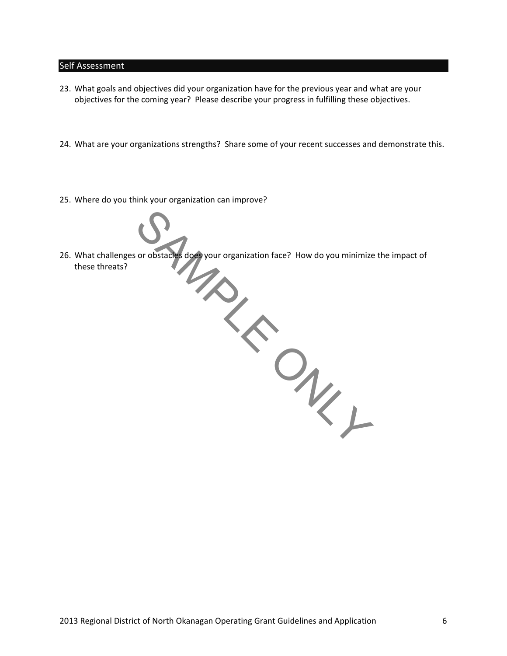#### Self Assessment

- 23. What goals and objectives did your organization have for the previous year and what are your objectives for the coming year? Please describe your progress in fulfilling these objectives.
- 24. What are your organizations strengths? Share some of your recent successes and demonstrate this.
- 25. Where do you think your organization can improve?